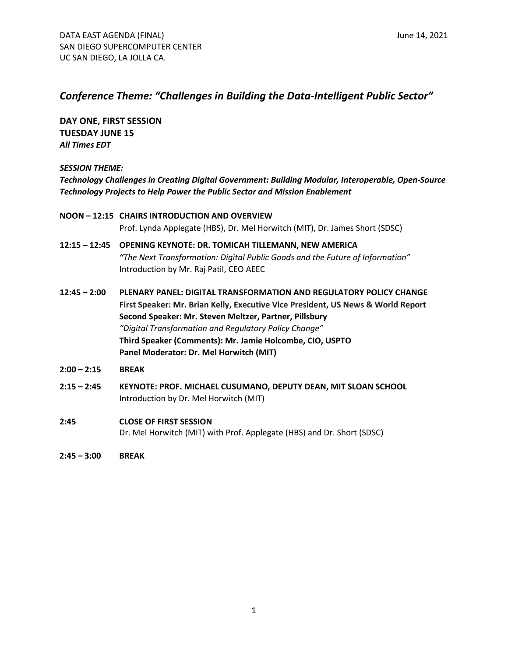**DAY ONE, FIRST SESSION TUESDAY JUNE 15** *All Times EDT*

*SESSION THEME:*

*Technology Challenges in Creating Digital Government: Building Modular, Interoperable, Open-Source Technology Projects to Help Power the Public Sector and Mission Enablement*

- **NOON – 12:15 CHAIRS INTRODUCTION AND OVERVIEW** Prof. Lynda Applegate (HBS), Dr. Mel Horwitch (MIT), Dr. James Short (SDSC)
- **12:15 – 12:45 OPENING KEYNOTE: DR. TOMICAH TILLEMANN, NEW AMERICA** *"The Next Transformation: Digital Public Goods and the Future of Information"* Introduction by Mr. Raj Patil, CEO AEEC
- **12:45 – 2:00 PLENARY PANEL: DIGITAL TRANSFORMATION AND REGULATORY POLICY CHANGE First Speaker: Mr. Brian Kelly, Executive Vice President, US News & World Report Second Speaker: Mr. Steven Meltzer, Partner, Pillsbury** *"Digital Transformation and Regulatory Policy Change"* **Third Speaker (Comments): Mr. Jamie Holcombe, CIO, USPTO Panel Moderator: Dr. Mel Horwitch (MIT)**
- **2:00 – 2:15 BREAK**
- **2:15 – 2:45 KEYNOTE: PROF. MICHAEL CUSUMANO, DEPUTY DEAN, MIT SLOAN SCHOOL** Introduction by Dr. Mel Horwitch (MIT)
- **2:45 CLOSE OF FIRST SESSION** Dr. Mel Horwitch (MIT) with Prof. Applegate (HBS) and Dr. Short (SDSC)

**2:45 – 3:00 BREAK**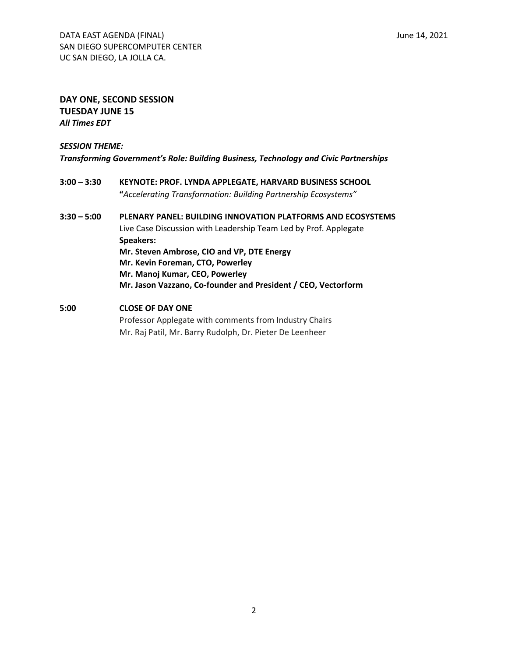## **DAY ONE, SECOND SESSION TUESDAY JUNE 15** *All Times EDT*

*SESSION THEME: Transforming Government's Role: Building Business, Technology and Civic Partnerships*

- **3:00 – 3:30 KEYNOTE: PROF. LYNDA APPLEGATE, HARVARD BUSINESS SCHOOL "***Accelerating Transformation: Building Partnership Ecosystems"*
- **3:30 – 5:00 PLENARY PANEL: BUILDING INNOVATION PLATFORMS AND ECOSYSTEMS** Live Case Discussion with Leadership Team Led by Prof. Applegate **Speakers: Mr. Steven Ambrose, CIO and VP, DTE Energy Mr. Kevin Foreman, CTO, Powerley Mr. Manoj Kumar, CEO, Powerley Mr. Jason Vazzano, Co-founder and President / CEO, Vectorform**
- **5:00 CLOSE OF DAY ONE** Professor Applegate with comments from Industry Chairs Mr. Raj Patil, Mr. Barry Rudolph, Dr. Pieter De Leenheer